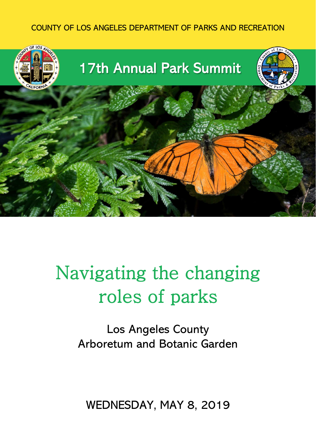#### COUNTY OF LOS ANGELES DEPARTMENT OF PARKS AND RECREATION



# Navigating the changing roles of parks

Los Angeles County Arboretum and Botanic Garden

WEDNESDAY, MAY 8, 2019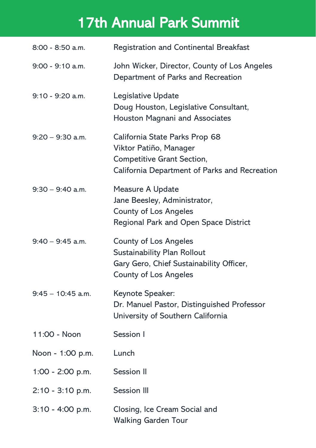# 17th Annual Park Summit

| 8:00 - 8:50 a.m.    | <b>Registration and Continental Breakfast</b>                                                                                                  |
|---------------------|------------------------------------------------------------------------------------------------------------------------------------------------|
| $9:00 - 9:10$ a.m.  | John Wicker, Director, County of Los Angeles<br>Department of Parks and Recreation                                                             |
| 9:10 - 9:20 a.m.    | Legislative Update<br>Doug Houston, Legislative Consultant,<br>Houston Magnani and Associates                                                  |
| $9:20 - 9:30$ a.m.  | California State Parks Prop 68<br>Viktor Patiño, Manager<br>Competitive Grant Section,<br>California Department of Parks and Recreation        |
| $9:30 - 9:40$ a.m.  | Measure A Update<br>Jane Beesley, Administrator,<br><b>County of Los Angeles</b><br>Regional Park and Open Space District                      |
| $9:40 - 9:45$ a.m.  | <b>County of Los Angeles</b><br><b>Sustainability Plan Rollout</b><br>Gary Gero, Chief Sustainability Officer,<br><b>County of Los Angeles</b> |
| $9:45 - 10:45$ a.m. | Keynote Speaker:<br>Dr. Manuel Pastor, Distinguished Professor<br>University of Southern California                                            |
| 11:00 - Noon        | Session I                                                                                                                                      |
| Noon - 1:00 p.m.    | Lunch                                                                                                                                          |
| 1:00 - 2:00 p.m.    | Session II                                                                                                                                     |
| $2:10 - 3:10$ p.m.  | Session III                                                                                                                                    |
| $3:10 - 4:00$ p.m.  | Closing, Ice Cream Social and<br><b>Walking Garden Tour</b>                                                                                    |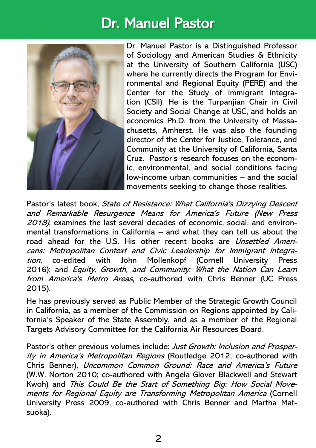# Dr. Manuel Pastor



[Dr. Manuel Pastor](http://dornsife.usc.edu/pere/pastor/) is a Distinguished Professor of Sociology and American Studies & Ethnicity at the University of Southern California (USC) where he currently directs the [Program for Envi](http://dornsife.usc.edu/pere)[ronmental and Regional Equity](http://dornsife.usc.edu/pere) [\(PERE\)](http://www.twitter.com/PERE_USC) and the [Center for the Study of Immigrant Integra](http://csii.usc.edu/)[tion](http://csii.usc.edu/) [\(CSII\)](http://www.twitter.com/CSII_USC). He is the Turpanjian Chair in Civil Society and Social Change at USC, and holds an economics Ph.D. from the University of Massachusetts, Amherst. He was also the founding director of the Center for Justice, Tolerance, and Community at the University of California, Santa Cruz. Pastor's research focuses on the economic, environmental, and social conditions facing low-income urban communities – and the social movements seeking to change those realities.

Pastor's latest book, State of Resistance: What California's Dizzying Descent [and Remarkable Resurgence Means for America's Future](file:///C:/Users/aibarra/AppData/Local/Microsoft/Windows/INetCache/Content.Outlook/SXY746W4/stateofresistancebook.com) (New Press 2018), examines the last several decades of economic, social, and environmental transformations in California – and what they can tell us about the road ahead for the U.S. His other recent books are *[Unsettled Ameri](http://www.cornellpress.cornell.edu/book/?GCOI=80140100666610&fa=author&person_ID=2775)*cans: [Metropolitan Context and Civic Leadership for Immigrant Integra](http://www.cornellpress.cornell.edu/book/?GCOI=80140100666610&fa=author&person_ID=2775)[tion,](http://www.cornellpress.cornell.edu/book/?GCOI=80140100666610&fa=author&person_ID=2775) co-edited with John Mollenkopf (Cornell University Press 2016); and *Equity, Growth, and Community: What the Nation Can Learn* [from America's Metro Areas](http://growingtogethermetro.org/), co-authored with Chris Benner (UC Press 2015).

He has previously served as Public Member of the Strategic Growth Council in California, as a member of the Commission on Regions appointed by California's Speaker of the State Assembly, and as a member of the Regional Targets Advisory Committee for the California Air Resources Board.

Pastor's other previous volumes include: Just Growth: Inclusion and Prosperity in America'<sup>s</sup> Metropolitan Regions (Routledge 2012; co-authored with Chris Benner), Uncommon Common Ground: Race and America's Future (W.W. Norton 2010; co-authored with Angela Glover Blackwell and Stewart Kwoh) and This Could Be the Start of Something Big: How Social Movements for Regional Equity are Transforming Metropolitan America (Cornell University Press 2009; co-authored with Chris Benner and Martha Matsuoka).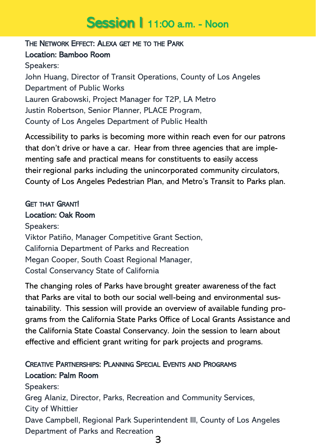# Session | 11:00 a.m. - Noon

#### THE NETWORK EFFECT: ALEXA GET ME TO THE PARK

### Location: Bamboo Room

Speakers: John Huang, Director of Transit Operations, County of Los Angeles Department of Public Works Lauren Grabowski, Project Manager for T2P, LA Metro Justin Robertson, Senior Planner, PLACE Program, County of Los Angeles Department of Public Health

Accessibility to parks is becoming more within reach even for our patrons that don't drive or have a car. Hear from three agencies that are implementing safe and practical means for constituents to easily access their regional parks including the unincorporated community circulators, County of Los Angeles Pedestrian Plan, and Metro's Transit to Parks plan.

# GET THAT GRANT!

#### Location: Oak Room

Speakers: Viktor Patiño, Manager Competitive Grant Section, California Department of Parks and Recreation Megan Cooper, South Coast Regional Manager, Costal Conservancy State of California

The changing roles of Parks have brought greater awareness of the fact that Parks are vital to both our social well-being and environmental sustainability. This session will provide an overview of available funding programs from the California State Parks Office of Local Grants Assistance and the California State Coastal Conservancy. Join the session to learn about effective and efficient grant writing for park projects and programs.

### CREATIVE PARTNERSHIPS: PLANNING SPECIAL EVENTS AND PROGRAMS Location: Palm Room

Speakers: Greg Alaniz, Director, Parks, Recreation and Community Services, City of Whittier Dave Campbell, Regional Park Superintendent III, County of Los Angeles Department of Parks and Recreation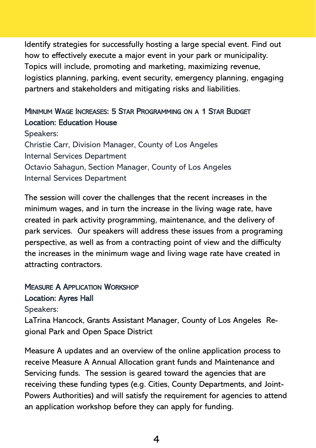Identify strategies for successfully hosting a large special event. Find out how to effectively execute a major event in your park or municipality. Topics will include, promoting and marketing, maximizing revenue, logistics planning, parking, event security, emergency planning, engaging partners and stakeholders and mitigating risks and liabilities.

### MINIMUM WAGE INCREASES: 5 STAR PROGRAMMING ON A 1 STAR BUDGET Location: Education House

Speakers: Christie Carr, Division Manager, County of Los Angeles Internal Services Department Octavio Sahagun, Section Manager, County of Los Angeles Internal Services Department

The session will cover the challenges that the recent increases in the minimum wages, and in turn the increase in the living wage rate, have created in park activity programming, maintenance, and the delivery of park services. Our speakers will address these issues from a programing perspective, as well as from a contracting point of view and the difficulty the increases in the minimum wage and living wage rate have created in attracting contractors.

### MEASURE A APPLICATION WORKSHOP Location: Ayres Hall

Speakers:

LaTrina Hancock, Grants Assistant Manager, County of Los Angeles Regional Park and Open Space District

Measure A updates and an overview of the online application process to receive Measure A Annual Allocation grant funds and Maintenance and Servicing funds. The session is geared toward the agencies that are receiving these funding types (e.g. Cities, County Departments, and Joint-Powers Authorities) and will satisfy the requirement for agencies to attend an application workshop before they can apply for funding.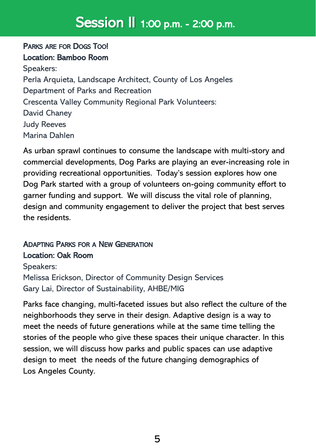# Session II 1:00 p.m. - 2:00 p.m.

# PARKS ARE FOR DOGS TOO! Location: Bamboo Room

Speakers: Perla Arquieta, Landscape Architect, County of Los Angeles Department of Parks and Recreation Crescenta Valley Community Regional Park Volunteers: David Chaney Judy Reeves Marina Dahlen

As urban sprawl continues to consume the landscape with multi-story and commercial developments, Dog Parks are playing an ever-increasing role in providing recreational opportunities. Today's session explores how one Dog Park started with a group of volunteers on-going community effort to garner funding and support. We will discuss the vital role of planning, design and community engagement to deliver the project that best serves the residents.

### ADAPTING PARKS FOR A NEW GENERATION Location: Oak Room

Speakers: Melissa Erickson, Director of Community Design Services Gary Lai, Director of Sustainability, AHBE/MIG

Parks face changing, multi-faceted issues but also reflect the culture of the neighborhoods they serve in their design. Adaptive design is a way to meet the needs of future generations while at the same time telling the stories of the people who give these spaces their unique character. In this session, we will discuss how parks and public spaces can use adaptive design to meet the needs of the future changing demographics of Los Angeles County.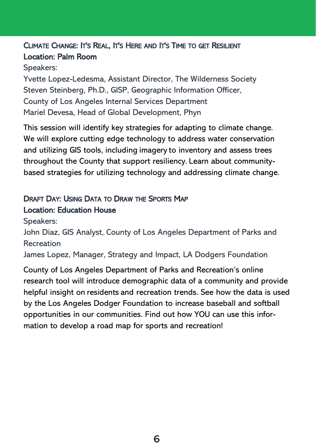# CLIMATE CHANGE: IT'S REAL, IT'S HERE AND IT'S TIME TO GET RESILIENT Location: Palm Room

Speakers:

Yvette Lopez-Ledesma, Assistant Director, The Wilderness Society Steven Steinberg, Ph.D., GISP, Geographic Information Officer, County of Los Angeles Internal Services Department Mariel Devesa, Head of Global Development, Phyn

This session will identify key strategies for adapting to climate change. We will explore cutting edge technology to address water conservation and utilizing GIS tools, including imagery to inventory and assess trees throughout the County that support resiliency. Learn about communitybased strategies for utilizing technology and addressing climate change.

# DRAFT DAY: USING DATA TO DRAW THE SPORTS MAP Location: Education House

Speakers:

John Diaz, GIS Analyst, County of Los Angeles Department of Parks and Recreation

James Lopez, Manager, Strategy and Impact, LA Dodgers Foundation

County of Los Angeles Department of Parks and Recreation's online research tool will introduce demographic data of a community and provide helpful insight on residents and recreation trends. See how the data is used by the Los Angeles Dodger Foundation to increase baseball and softball opportunities in our communities. Find out how YOU can use this information to develop a road map for sports and recreation!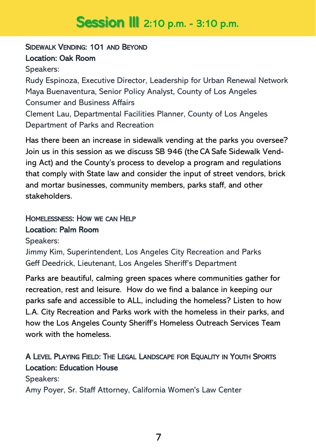# **Session III** 2:10 p.m. - 3:10 p.m.

#### SIDEWALK VENDING: 101 AND BEYOND Location: Oak Room

Speakers:

Rudy Espinoza, Executive Director, Leadership for Urban Renewal Network Maya Buenaventura, Senior Policy Analyst, County of Los Angeles Consumer and Business Affairs Clement Lau, Departmental Facilities Planner, County of Los Angeles Department of Parks and Recreation

Has there been an increase in sidewalk vending at the parks you oversee? Join us in this session as we discuss SB 946 (the CA Safe Sidewalk Vending Act) and the County's process to develop a program and regulations that comply with State law and consider the input of street vendors, brick and mortar businesses, community members, parks staff, and other stakeholders.

### HOMELESSNESS: HOW WE CAN HELP Location: Palm Room

Speakers:

Jimmy Kim, Superintendent, Los Angeles City Recreation and Parks Geff Deedrick, Lieutenant, Los Angeles Sheriff's Department

Parks are beautiful, calming green spaces where communities gather for recreation, rest and leisure. How do we find a balance in keeping our parks safe and accessible to ALL, including the homeless? Listen to how L.A. City Recreation and Parks work with the homeless in their parks, and how the Los Angeles County Sheriff's Homeless Outreach Services Team work with the homeless.

### A LEVEL PLAYING FIELD: THE LEGAL LANDSCAPE FOR EQUALITY IN YOUTH SPORTS Location: Education House

Speakers:

Amy Poyer, Sr. Staff Attorney, California Women's Law Center